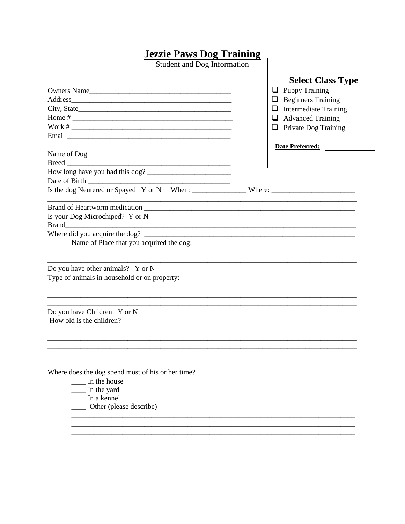|  |  | <b>Jezzie Paws Dog Training</b> |
|--|--|---------------------------------|
|  |  |                                 |

Student and Dog Information

| Owners Name<br>Work $\#$                                        | <b>Select Class Type</b><br><b>Puppy Training</b><br>u<br><b>Beginners Training</b><br>⊔<br>$\Box$ Intermediate Training<br>$\Box$ Advanced Training<br>$\Box$ Private Dog Training<br>Date Preferred: |
|-----------------------------------------------------------------|--------------------------------------------------------------------------------------------------------------------------------------------------------------------------------------------------------|
|                                                                 |                                                                                                                                                                                                        |
|                                                                 |                                                                                                                                                                                                        |
|                                                                 |                                                                                                                                                                                                        |
|                                                                 |                                                                                                                                                                                                        |
| Is your Dog Microchiped? Y or N<br><b>Brand</b>                 |                                                                                                                                                                                                        |
| Where did you acquire the dog?                                  |                                                                                                                                                                                                        |
| Name of Place that you acquired the dog:                        |                                                                                                                                                                                                        |
| Do you have other animals? Y or N                               |                                                                                                                                                                                                        |
| Type of animals in household or on property:                    |                                                                                                                                                                                                        |
| Do you have Children Y or N                                     |                                                                                                                                                                                                        |
| How old is the children?                                        |                                                                                                                                                                                                        |
|                                                                 |                                                                                                                                                                                                        |
| Where does the dog spend most of his or her time?               |                                                                                                                                                                                                        |
| In the house                                                    |                                                                                                                                                                                                        |
| In the yard                                                     |                                                                                                                                                                                                        |
| $\overline{\phantom{a}}$ In a kennel<br>Other (please describe) |                                                                                                                                                                                                        |
|                                                                 |                                                                                                                                                                                                        |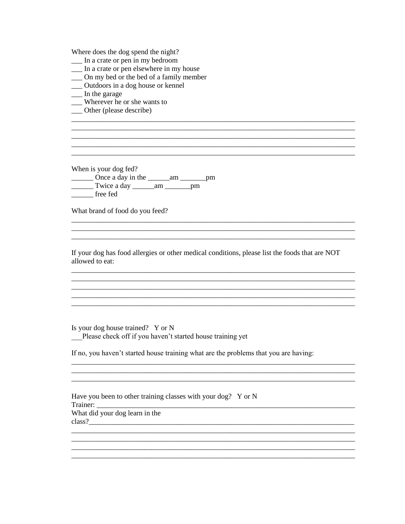Where does the dog spend the night?

- In a crate or pen in my bedroom
- In a crate or pen elsewhere in my house
- On my bed or the bed of a family member
- \_\_ Outdoors in a dog house or kennel
- In the garage
- \_\_ Wherever he or she wants to
- \_\_ Other (please describe)

When is your dog fed?

free fed

What brand of food do you feed?

If your dog has food allergies or other medical conditions, please list the foods that are NOT allowed to eat:

<u> 1989 - Johann Stoff, deutscher Stoff, der Stoff, der Stoff, der Stoff, der Stoff, der Stoff, der Stoff, der S</u>

Is your dog house trained? Y or N Please check off if you haven't started house training yet

If no, you haven't started house training what are the problems that you are having:

Have you been to other training classes with your dog? Y or N Trainer: What did your dog learn in the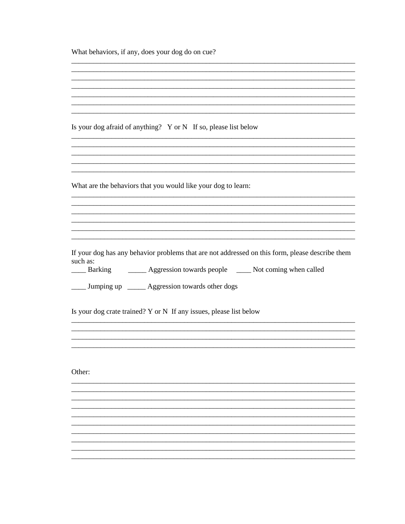What behaviors, if any, does your dog do on cue?

Is your dog afraid of anything? Y or N If so, please list below

What are the behaviors that you would like your dog to learn:

If your dog has any behavior problems that are not addressed on this form, please describe them such as:

Barking \_\_\_\_\_\_\_\_ Aggression towards people \_\_\_\_\_\_ Not coming when called

\_\_\_\_ Jumping up \_\_\_\_\_ Aggression towards other dogs

Is your dog crate trained? Y or N If any issues, please list below

Other: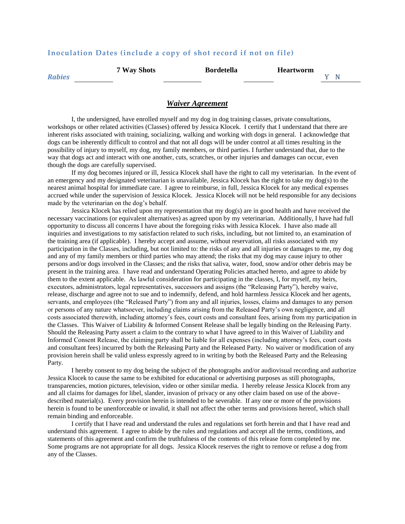# **Inoculation Dates (include a copy of shot record if not on file)**

|               | 7 Way Shots | <b>Bordetella</b> | <b>Heartworm</b> |  |
|---------------|-------------|-------------------|------------------|--|
| <b>Rabies</b> |             |                   |                  |  |
|               |             |                   |                  |  |

### *Waiver Agreement*

I, the undersigned, have enrolled myself and my dog in dog training classes, private consultations, workshops or other related activities (Classes) offered by Jessica Klocek. I certify that I understand that there are inherent risks associated with training, socializing, walking and working with dogs in general. I acknowledge that dogs can be inherently difficult to control and that not all dogs will be under control at all times resulting in the possibility of injury to myself, my dog, my family members, or third parties. I further understand that, due to the way that dogs act and interact with one another, cuts, scratches, or other injuries and damages can occur, even though the dogs are carefully supervised.

If my dog becomes injured or ill, Jessica Klocek shall have the right to call my veterinarian. In the event of an emergency and my designated veterinarian is unavailable, Jessica Klocek has the right to take my dog(s) to the nearest animal hospital for immediate care. I agree to reimburse, in full, Jessica Klocek for any medical expenses accrued while under the supervision of Jessica Klocek. Jessica Klocek will not be held responsible for any decisions made by the veterinarian on the dog's behalf.

Jessica Klocek has relied upon my representation that my dog(s) are in good health and have received the necessary vaccinations (or equivalent alternatives) as agreed upon by my veterinarian. Additionally, I have had full opportunity to discuss all concerns I have about the foregoing risks with Jessica Klocek. I have also made all inquiries and investigations to my satisfaction related to such risks, including, but not limited to, an examination of the training area (if applicable). I hereby accept and assume, without reservation, all risks associated with my participation in the Classes, including, but not limited to: the risks of any and all injuries or damages to me, my dog and any of my family members or third parties who may attend; the risks that my dog may cause injury to other persons and/or dogs involved in the Classes; and the risks that saliva, water, food, snow and/or other debris may be present in the training area. I have read and understand Operating Policies attached hereto, and agree to abide by them to the extent applicable. As lawful consideration for participating in the classes, I, for myself, my heirs, executors, administrators, legal representatives, successors and assigns (the "Releasing Party"), hereby waive, release, discharge and agree not to sue and to indemnify, defend, and hold harmless Jessica Klocek and her agents, servants, and employees (the "Released Party") from any and all injuries, losses, claims and damages to any person or persons of any nature whatsoever, including claims arising from the Released Party's own negligence, and all costs associated therewith, including attorney's fees, court costs and consultant fees, arising from my participation in the Classes. This Waiver of Liability & Informed Consent Release shall be legally binding on the Releasing Party. Should the Releasing Party assert a claim to the contrary to what I have agreed to in this Waiver of Liability and Informed Consent Release, the claiming party shall be liable for all expenses (including attorney's fees, court costs and consultant fees) incurred by both the Releasing Party and the Released Party. No waiver or modification of any provision herein shall be valid unless expressly agreed to in writing by both the Released Party and the Releasing Party.

I hereby consent to my dog being the subject of the photographs and/or audiovisual recording and authorize Jessica Klocek to cause the same to be exhibited for educational or advertising purposes as still photographs, transparencies, motion pictures, television, video or other similar media. I hereby release Jessica Klocek from any and all claims for damages for libel, slander, invasion of privacy or any other claim based on use of the abovedescribed material(s). Every provision herein is intended to be severable. If any one or more of the provisions herein is found to be unenforceable or invalid, it shall not affect the other terms and provisions hereof, which shall remain binding and enforceable.

I certify that I have read and understand the rules and regulations set forth herein and that I have read and understand this agreement. I agree to abide by the rules and regulations and accept all the terms, conditions, and statements of this agreement and confirm the truthfulness of the contents of this release form completed by me. Some programs are not appropriate for all dogs. Jessica Klocek reserves the right to remove or refuse a dog from any of the Classes.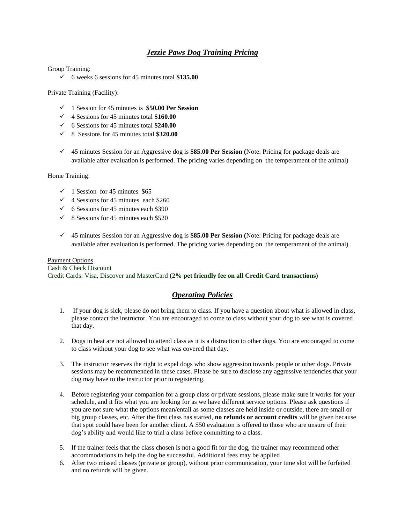# *Jezzie Paws Dog Training Pricing*

Group Training:

 $\checkmark$  6 weeks 6 sessions for 45 minutes total \$135.00

Private Training (Facility):

- 1 Session for 45 minutes is **\$50.00 Per Session**
- $\checkmark$  4 Sessions for 45 minutes total **\$160.00**
- 6 Sessions for 45 minutes total **\$240.00**
- 8 Sessions for 45 minutes total **\$320.00**
- 45 minutes Session for an Aggressive dog is **\$85.00 Per Session (**Note: Pricing for package deals are available after evaluation is performed. The pricing varies depending on the temperament of the animal)

Home Training:

- $\checkmark$  1 Session for 45 minutes \$65
- $\checkmark$  4 Sessions for 45 minutes each \$260
- $\checkmark$  6 Sessions for 45 minutes each \$390
- $\checkmark$  8 Sessions for 45 minutes each \$520
- 45 minutes Session for an Aggressive dog is **\$85.00 Per Session (**Note: Pricing for package deals are available after evaluation is performed. The pricing varies depending on the temperament of the animal)

#### Payment Options

Cash & Check Discount Credit Cards: Visa, Discover and MasterCard **(2% pet friendly fee on all Credit Card transactions)**

# *Operating Policies*

- 1. If your dog is sick, please do not bring them to class. If you have a question about what is allowed in class, please contact the instructor. You are encouraged to come to class without your dog to see what is covered that day.
- 2. Dogs in heat are not allowed to attend class as it is a distraction to other dogs. You are encouraged to come to class without your dog to see what was covered that day.
- 3. The instructor reserves the right to expel dogs who show aggression towards people or other dogs. Private sessions may be recommended in these cases. Please be sure to disclose any aggressive tendencies that your dog may have to the instructor prior to registering.
- 4. Before registering your companion for a group class or private sessions, please make sure it works for your schedule, and it fits what you are looking for as we have different service options. Please ask questions if you are not sure what the options mean/entail as some classes are held inside or outside, there are small or big group classes, etc. After the first class has started, **no refunds or account credits** will be given because that spot could have been for another client. A \$50 evaluation is offered to those who are unsure of their dog's ability and would like to trial a class before committing to a class.
- 5. If the trainer feels that the class chosen is not a good fit for the dog, the trainer may recommend other accommodations to help the dog be successful. Additional fees may be applied
- 6. After two missed classes (private or group), without prior communication, your time slot will be forfeited and no refunds will be given.